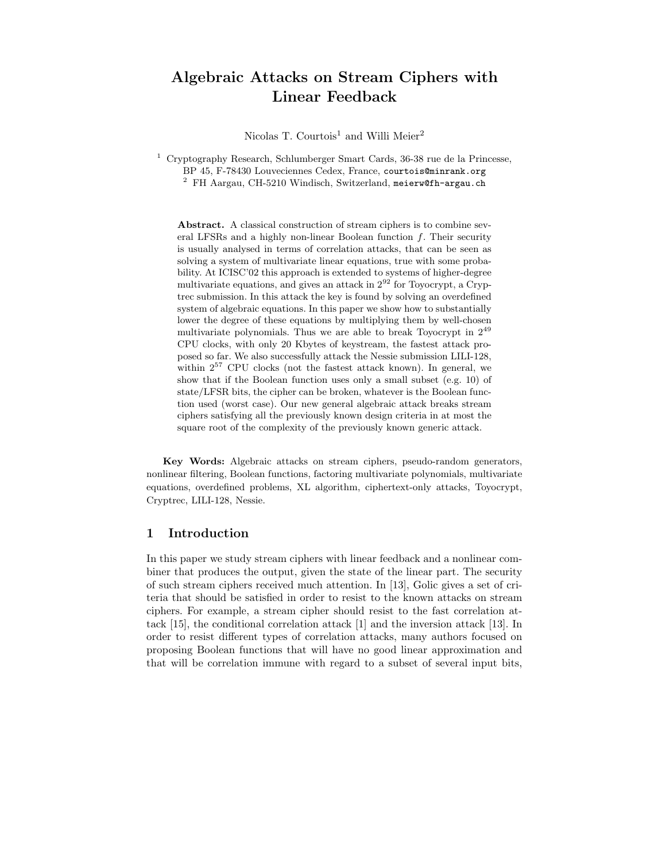# Algebraic Attacks on Stream Ciphers with Linear Feedback

Nicolas T. Courtois<sup>1</sup> and Willi Meier<sup>2</sup>

 $1$  Cryptography Research, Schlumberger Smart Cards, 36-38 rue de la Princesse, BP 45, F-78430 Louveciennes Cedex, France, courtois@minrank.org <sup>2</sup> FH Aargau, CH-5210 Windisch, Switzerland, meierw@fh-argau.ch

Abstract. A classical construction of stream ciphers is to combine several LFSRs and a highly non-linear Boolean function  $f$ . Their security is usually analysed in terms of correlation attacks, that can be seen as solving a system of multivariate linear equations, true with some probability. At ICISC'02 this approach is extended to systems of higher-degree multivariate equations, and gives an attack in  $2^{92}$  for Toyocrypt, a Cryptrec submission. In this attack the key is found by solving an overdefined system of algebraic equations. In this paper we show how to substantially lower the degree of these equations by multiplying them by well-chosen multivariate polynomials. Thus we are able to break Toyocrypt in 2 49 CPU clocks, with only 20 Kbytes of keystream, the fastest attack proposed so far. We also successfully attack the Nessie submission LILI-128, within  $2^{57}$  CPU clocks (not the fastest attack known). In general, we show that if the Boolean function uses only a small subset (e.g. 10) of state/LFSR bits, the cipher can be broken, whatever is the Boolean function used (worst case). Our new general algebraic attack breaks stream ciphers satisfying all the previously known design criteria in at most the square root of the complexity of the previously known generic attack.

Key Words: Algebraic attacks on stream ciphers, pseudo-random generators, nonlinear filtering, Boolean functions, factoring multivariate polynomials, multivariate equations, overdefined problems, XL algorithm, ciphertext-only attacks, Toyocrypt, Cryptrec, LILI-128, Nessie.

## 1 Introduction

In this paper we study stream ciphers with linear feedback and a nonlinear combiner that produces the output, given the state of the linear part. The security of such stream ciphers received much attention. In [13], Golic gives a set of criteria that should be satisfied in order to resist to the known attacks on stream ciphers. For example, a stream cipher should resist to the fast correlation attack [15], the conditional correlation attack [1] and the inversion attack [13]. In order to resist different types of correlation attacks, many authors focused on proposing Boolean functions that will have no good linear approximation and that will be correlation immune with regard to a subset of several input bits,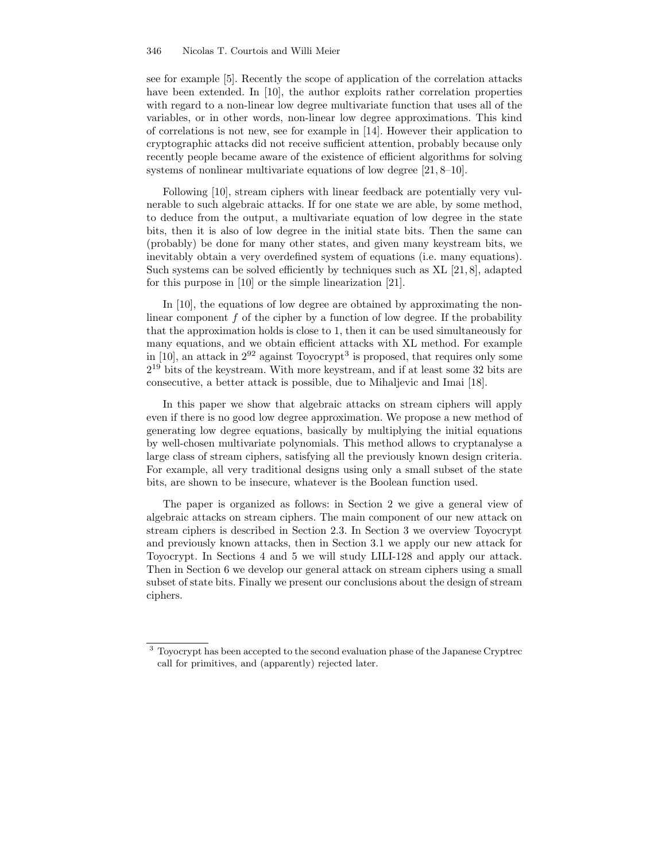see for example [5]. Recently the scope of application of the correlation attacks have been extended. In [10], the author exploits rather correlation properties with regard to a non-linear low degree multivariate function that uses all of the variables, or in other words, non-linear low degree approximations. This kind of correlations is not new, see for example in [14]. However their application to cryptographic attacks did not receive sufficient attention, probably because only recently people became aware of the existence of efficient algorithms for solving systems of nonlinear multivariate equations of low degree [21, 8–10].

Following [10], stream ciphers with linear feedback are potentially very vulnerable to such algebraic attacks. If for one state we are able, by some method, to deduce from the output, a multivariate equation of low degree in the state bits, then it is also of low degree in the initial state bits. Then the same can (probably) be done for many other states, and given many keystream bits, we inevitably obtain a very overdefined system of equations (i.e. many equations). Such systems can be solved efficiently by techniques such as XL [21, 8], adapted for this purpose in [10] or the simple linearization [21].

In [10], the equations of low degree are obtained by approximating the nonlinear component  $f$  of the cipher by a function of low degree. If the probability that the approximation holds is close to 1, then it can be used simultaneously for many equations, and we obtain efficient attacks with XL method. For example in [10], an attack in  $2^{92}$  against Toyocrypt<sup>3</sup> is proposed, that requires only some 2 <sup>19</sup> bits of the keystream. With more keystream, and if at least some 32 bits are consecutive, a better attack is possible, due to Mihaljevic and Imai [18].

In this paper we show that algebraic attacks on stream ciphers will apply even if there is no good low degree approximation. We propose a new method of generating low degree equations, basically by multiplying the initial equations by well-chosen multivariate polynomials. This method allows to cryptanalyse a large class of stream ciphers, satisfying all the previously known design criteria. For example, all very traditional designs using only a small subset of the state bits, are shown to be insecure, whatever is the Boolean function used.

The paper is organized as follows: in Section 2 we give a general view of algebraic attacks on stream ciphers. The main component of our new attack on stream ciphers is described in Section 2.3. In Section 3 we overview Toyocrypt and previously known attacks, then in Section 3.1 we apply our new attack for Toyocrypt. In Sections 4 and 5 we will study LILI-128 and apply our attack. Then in Section 6 we develop our general attack on stream ciphers using a small subset of state bits. Finally we present our conclusions about the design of stream ciphers.

<sup>3</sup> Toyocrypt has been accepted to the second evaluation phase of the Japanese Cryptrec call for primitives, and (apparently) rejected later.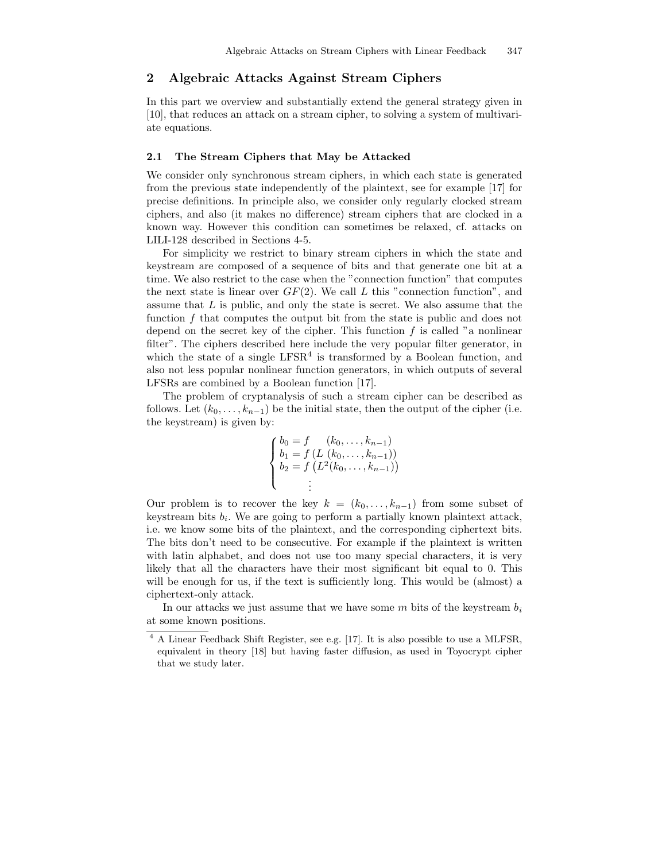## 2 Algebraic Attacks Against Stream Ciphers

In this part we overview and substantially extend the general strategy given in [10], that reduces an attack on a stream cipher, to solving a system of multivariate equations.

#### 2.1 The Stream Ciphers that May be Attacked

We consider only synchronous stream ciphers, in which each state is generated from the previous state independently of the plaintext, see for example [17] for precise definitions. In principle also, we consider only regularly clocked stream ciphers, and also (it makes no difference) stream ciphers that are clocked in a known way. However this condition can sometimes be relaxed, cf. attacks on LILI-128 described in Sections 4-5.

For simplicity we restrict to binary stream ciphers in which the state and keystream are composed of a sequence of bits and that generate one bit at a time. We also restrict to the case when the "connection function" that computes the next state is linear over  $GF(2)$ . We call L this "connection function", and assume that L is public, and only the state is secret. We also assume that the function f that computes the output bit from the state is public and does not depend on the secret key of the cipher. This function  $f$  is called "a nonlinear filter". The ciphers described here include the very popular filter generator, in which the state of a single  $LFSR<sup>4</sup>$  is transformed by a Boolean function, and also not less popular nonlinear function generators, in which outputs of several LFSRs are combined by a Boolean function [17].

The problem of cryptanalysis of such a stream cipher can be described as follows. Let  $(k_0, \ldots, k_{n-1})$  be the initial state, then the output of the cipher (i.e. the keystream) is given by:

$$
\begin{cases}\nb_0 = f & (k_0, \dots, k_{n-1}) \\
b_1 = f (L (k_0, \dots, k_{n-1})) \\
b_2 = f (L^2 (k_0, \dots, k_{n-1})) \\
\vdots\n\end{cases}
$$

Our problem is to recover the key  $k = (k_0, \ldots, k_{n-1})$  from some subset of keystream bits  $b_i$ . We are going to perform a partially known plaintext attack, i.e. we know some bits of the plaintext, and the corresponding ciphertext bits. The bits don't need to be consecutive. For example if the plaintext is written with latin alphabet, and does not use too many special characters, it is very likely that all the characters have their most significant bit equal to 0. This will be enough for us, if the text is sufficiently long. This would be (almost) a ciphertext-only attack.

In our attacks we just assume that we have some m bits of the keystream  $b_i$ at some known positions.

<sup>4</sup> A Linear Feedback Shift Register, see e.g. [17]. It is also possible to use a MLFSR, equivalent in theory [18] but having faster diffusion, as used in Toyocrypt cipher that we study later.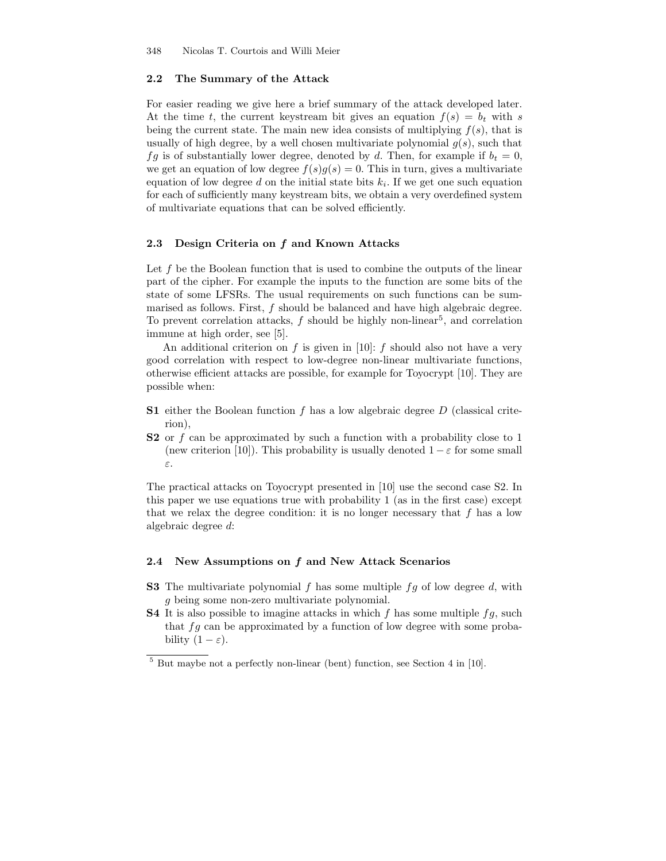### 2.2 The Summary of the Attack

For easier reading we give here a brief summary of the attack developed later. At the time t, the current keystream bit gives an equation  $f(s) = b_t$  with s being the current state. The main new idea consists of multiplying  $f(s)$ , that is usually of high degree, by a well chosen multivariate polynomial  $g(s)$ , such that fg is of substantially lower degree, denoted by d. Then, for example if  $b_t = 0$ , we get an equation of low degree  $f(s)g(s) = 0$ . This in turn, gives a multivariate equation of low degree  $d$  on the initial state bits  $k_i$ . If we get one such equation for each of sufficiently many keystream bits, we obtain a very overdefined system of multivariate equations that can be solved efficiently.

## 2.3 Design Criteria on f and Known Attacks

Let  $f$  be the Boolean function that is used to combine the outputs of the linear part of the cipher. For example the inputs to the function are some bits of the state of some LFSRs. The usual requirements on such functions can be summarised as follows. First,  $f$  should be balanced and have high algebraic degree. To prevent correlation attacks,  $f$  should be highly non-linear<sup>5</sup>, and correlation immune at high order, see [5].

An additional criterion on f is given in [10]: f should also not have a very good correlation with respect to low-degree non-linear multivariate functions, otherwise efficient attacks are possible, for example for Toyocrypt [10]. They are possible when:

- **S1** either the Boolean function  $f$  has a low algebraic degree  $D$  (classical criterion),
- S2 or f can be approximated by such a function with a probability close to 1 (new criterion [10]). This probability is usually denoted  $1 - \varepsilon$  for some small ε.

The practical attacks on Toyocrypt presented in [10] use the second case S2. In this paper we use equations true with probability 1 (as in the first case) except that we relax the degree condition: it is no longer necessary that  $f$  has a low algebraic degree d:

#### 2.4 New Assumptions on  $f$  and New Attack Scenarios

- **S3** The multivariate polynomial f has some multiple  $fg$  of low degree d, with g being some non-zero multivariate polynomial.
- **S4** It is also possible to imagine attacks in which f has some multiple  $fg$ , such that  $fg$  can be approximated by a function of low degree with some probability  $(1 - \varepsilon)$ .

<sup>5</sup> But maybe not a perfectly non-linear (bent) function, see Section 4 in [10].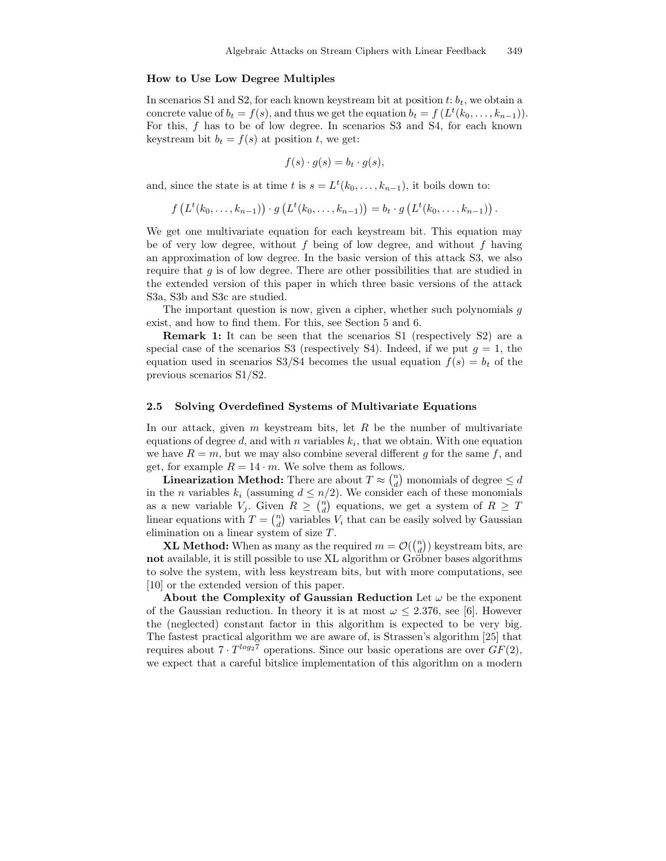#### How to Use Low Degree Multiples

In scenarios S1 and S2, for each known keystream bit at position  $t: b_t$ , we obtain a concrete value of  $b_t = f(s)$ , and thus we get the equation  $b_t = f(L^t(k_0, \ldots, k_{n-1}))$ . For this, f has to be of low degree. In scenarios S3 and S4, for each known keystream bit  $b_t = f(s)$  at position t, we get:

$$
f(s) \cdot g(s) = b_t \cdot g(s),
$$

and, since the state is at time t is  $s = L^t(k_0, \ldots, k_{n-1})$ , it boils down to:

$$
f(L^t(k_0,\ldots,k_{n-1})) \cdot g(L^t(k_0,\ldots,k_{n-1})) = b_t \cdot g(L^t(k_0,\ldots,k_{n-1})).
$$

We get one multivariate equation for each keystream bit. This equation may be of very low degree, without  $f$  being of low degree, and without  $f$  having an approximation of low degree. In the basic version of this attack S3, we also require that  $g$  is of low degree. There are other possibilities that are studied in the extended version of this paper in which three basic versions of the attack S3a, S3b and S3c are studied.

The important question is now, given a cipher, whether such polynomials  $q$ exist, and how to find them. For this, see Section 5 and 6.

Remark 1: It can be seen that the scenarios S1 (respectively S2) are a special case of the scenarios S3 (respectively S4). Indeed, if we put  $q = 1$ , the equation used in scenarios S3/S4 becomes the usual equation  $f(s) = b_t$  of the previous scenarios S1/S2.

#### 2.5 Solving Overdefined Systems of Multivariate Equations

In our attack, given  $m$  keystream bits, let  $R$  be the number of multivariate equations of degree d, and with n variables  $k_i$ , that we obtain. With one equation we have  $R = m$ , but we may also combine several different g for the same f, and get, for example  $R = 14 \cdot m$ . We solve them as follows.

**Linearization Method:** There are about  $T \approx \binom{n}{d}$  monomials of degree  $\leq d$ in the *n* variables  $k_i$  (assuming  $d \leq n/2$ ). We consider each of these monomials as a new variable  $V_j$ . Given  $R \geq \binom{n}{d}$  equations, we get a system of  $R \geq T$ linear equations with  $T = \binom{n}{d}$  variables  $V_i$  that can be easily solved by Gaussian elimination on a linear system of size T.

**XL Method:** When as many as the required  $m = \mathcal{O}(\binom{n}{d})$  keystream bits, are not available, it is still possible to use XL algorithm or Gröbner bases algorithms to solve the system, with less keystream bits, but with more computations, see [10] or the extended version of this paper.

About the Complexity of Gaussian Reduction Let  $\omega$  be the exponent of the Gaussian reduction. In theory it is at most  $\omega \leq 2.376$ , see [6]. However the (neglected) constant factor in this algorithm is expected to be very big. The fastest practical algorithm we are aware of, is Strassen's algorithm [25] that requires about  $7 \cdot T^{\log_2 7}$  operations. Since our basic operations are over  $GF(2)$ , we expect that a careful bitslice implementation of this algorithm on a modern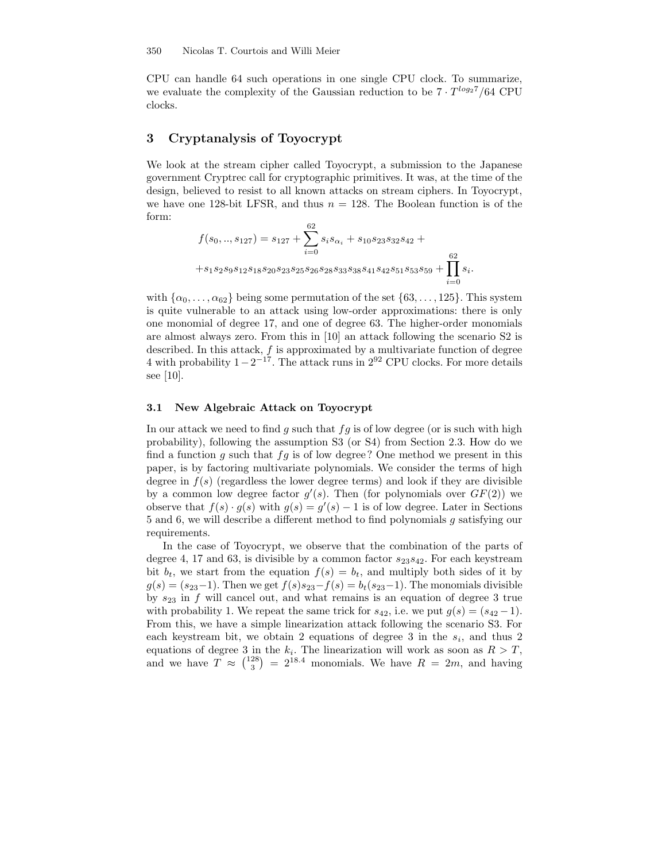CPU can handle 64 such operations in one single CPU clock. To summarize, we evaluate the complexity of the Gaussian reduction to be  $7 \cdot T^{\log_2 7}/64$  CPU clocks.

# 3 Cryptanalysis of Toyocrypt

We look at the stream cipher called Toyocrypt, a submission to the Japanese government Cryptrec call for cryptographic primitives. It was, at the time of the design, believed to resist to all known attacks on stream ciphers. In Toyocrypt, we have one 128-bit LFSR, and thus  $n = 128$ . The Boolean function is of the form:

$$
f(s_0,..,s_{127}) = s_{127} + \sum_{i=0}^{62} s_i s_{\alpha_i} + s_{10} s_{23} s_{32} s_{42} + + s_1 s_2 s_9 s_{12} s_{18} s_{20} s_{23} s_{25} s_{26} s_{28} s_{33} s_{38} s_{41} s_{42} s_{51} s_{53} s_{59} + \prod_{i=0}^{62} s_i.
$$

with  $\{\alpha_0, \ldots, \alpha_{62}\}\$ being some permutation of the set  $\{63, \ldots, 125\}\$ . This system is quite vulnerable to an attack using low-order approximations: there is only one monomial of degree 17, and one of degree 63. The higher-order monomials are almost always zero. From this in [10] an attack following the scenario S2 is described. In this attack, f is approximated by a multivariate function of degree 4 with probability  $1-2^{-17}$ . The attack runs in  $2^{92}$  CPU clocks. For more details see [10].

## 3.1 New Algebraic Attack on Toyocrypt

In our attack we need to find g such that  $fg$  is of low degree (or is such with high probability), following the assumption S3 (or S4) from Section 2.3. How do we find a function g such that  $fg$  is of low degree? One method we present in this paper, is by factoring multivariate polynomials. We consider the terms of high degree in  $f(s)$  (regardless the lower degree terms) and look if they are divisible by a common low degree factor  $g'(s)$ . Then (for polynomials over  $GF(2)$ ) we observe that  $f(s) \cdot g(s)$  with  $g(s) = g'(s) - 1$  is of low degree. Later in Sections 5 and 6, we will describe a different method to find polynomials g satisfying our requirements.

In the case of Toyocrypt, we observe that the combination of the parts of degree 4, 17 and 63, is divisible by a common factor  $s_{23}s_{42}$ . For each keystream bit  $b_t$ , we start from the equation  $f(s) = b_t$ , and multiply both sides of it by  $g(s) = (s_{23}-1)$ . Then we get  $f(s)s_{23}-f(s) = b_t(s_{23}-1)$ . The monomials divisible by  $s_{23}$  in f will cancel out, and what remains is an equation of degree 3 true with probability 1. We repeat the same trick for  $s_{42}$ , i.e. we put  $g(s) = (s_{42}-1)$ . From this, we have a simple linearization attack following the scenario S3. For each keystream bit, we obtain 2 equations of degree 3 in the  $s_i$ , and thus 2 equations of degree 3 in the  $k_i$ . The linearization will work as soon as  $R > T$ , and we have  $T \approx \binom{128}{3} = 2^{18.4}$  monomials. We have  $R = 2m$ , and having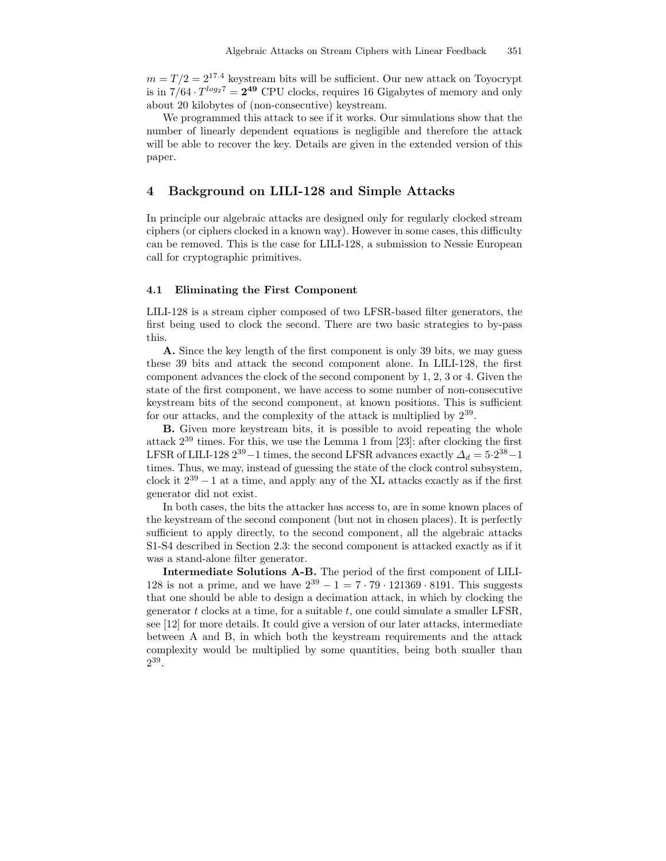$m = T/2 = 2^{17.4}$  keystream bits will be sufficient. Our new attack on Toyocrypt is in  $7/64 \cdot T^{\log_2 7} = 2^{49}$  CPU clocks, requires 16 Gigabytes of memory and only about 20 kilobytes of (non-consecutive) keystream.

We programmed this attack to see if it works. Our simulations show that the number of linearly dependent equations is negligible and therefore the attack will be able to recover the key. Details are given in the extended version of this paper.

# 4 Background on LILI-128 and Simple Attacks

In principle our algebraic attacks are designed only for regularly clocked stream ciphers (or ciphers clocked in a known way). However in some cases, this difficulty can be removed. This is the case for LILI-128, a submission to Nessie European call for cryptographic primitives.

#### 4.1 Eliminating the First Component

LILI-128 is a stream cipher composed of two LFSR-based filter generators, the first being used to clock the second. There are two basic strategies to by-pass this.

A. Since the key length of the first component is only 39 bits, we may guess these 39 bits and attack the second component alone. In LILI-128, the first component advances the clock of the second component by 1, 2, 3 or 4. Given the state of the first component, we have access to some number of non-consecutive keystream bits of the second component, at known positions. This is sufficient for our attacks, and the complexity of the attack is multiplied by  $2^{39}$ .

B. Given more keystream bits, it is possible to avoid repeating the whole attack 2 <sup>39</sup> times. For this, we use the Lemma 1 from [23]: after clocking the first LFSR of LILI-128  $2^{39} - 1$  times, the second LFSR advances exactly  $\Delta_d = 5 \cdot 2^{38} - 1$ times. Thus, we may, instead of guessing the state of the clock control subsystem, clock it  $2^{39} - 1$  at a time, and apply any of the XL attacks exactly as if the first generator did not exist.

In both cases, the bits the attacker has access to, are in some known places of the keystream of the second component (but not in chosen places). It is perfectly sufficient to apply directly, to the second component, all the algebraic attacks S1-S4 described in Section 2.3: the second component is attacked exactly as if it was a stand-alone filter generator.

Intermediate Solutions A-B. The period of the first component of LILI-128 is not a prime, and we have  $2^{39} - 1 = 7 \cdot 79 \cdot 121369 \cdot 8191$ . This suggests that one should be able to design a decimation attack, in which by clocking the generator  $t$  clocks at a time, for a suitable  $t$ , one could simulate a smaller LFSR, see [12] for more details. It could give a version of our later attacks, intermediate between A and B, in which both the keystream requirements and the attack complexity would be multiplied by some quantities, being both smaller than  $2^{39}$ .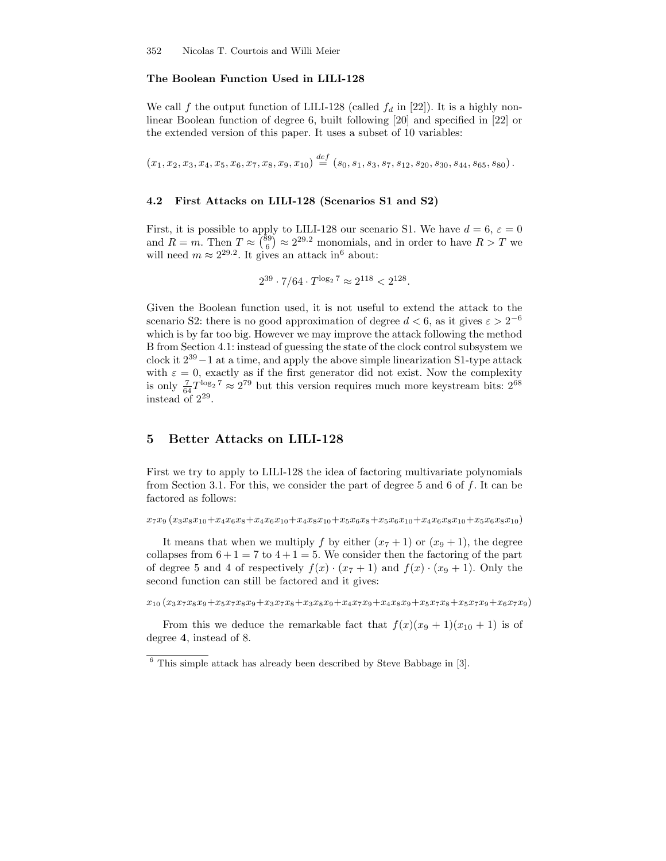### The Boolean Function Used in LILI-128

We call f the output function of LILI-128 (called  $f_d$  in [22]). It is a highly nonlinear Boolean function of degree 6, built following [20] and specified in [22] or the extended version of this paper. It uses a subset of 10 variables:

 $(x_1, x_2, x_3, x_4, x_5, x_6, x_7, x_8, x_9, x_{10}) \stackrel{def}{=} (s_0, s_1, s_3, s_7, s_{12}, s_{20}, s_{30}, s_{44}, s_{65}, s_{80}).$ 

#### 4.2 First Attacks on LILI-128 (Scenarios S1 and S2)

First, it is possible to apply to LILI-128 our scenario S1. We have  $d = 6, \, \varepsilon = 0$ and  $R = m$ . Then  $T \approx {89 \choose 6} \approx 2^{29.2}$  monomials, and in order to have  $R > T$  we will need  $m \approx 2^{29.2}$ . It gives an attack in<sup>6</sup> about:

$$
2^{39} \cdot 7/64 \cdot T^{\log_2 7} \approx 2^{118} < 2^{128}.
$$

Given the Boolean function used, it is not useful to extend the attack to the scenario S2: there is no good approximation of degree  $d < 6$ , as it gives  $\varepsilon > 2^{-6}$ which is by far too big. However we may improve the attack following the method B from Section 4.1: instead of guessing the state of the clock control subsystem we clock it  $2^{39} - 1$  at a time, and apply the above simple linearization S1-type attack with  $\varepsilon = 0$ , exactly as if the first generator did not exist. Now the complexity is only  $\frac{7}{64}T^{\log_2 7} \approx 2^{79}$  but this version requires much more keystream bits:  $2^{68}$ instead of 2 29 .

## 5 Better Attacks on LILI-128

First we try to apply to LILI-128 the idea of factoring multivariate polynomials from Section 3.1. For this, we consider the part of degree 5 and 6 of  $f$ . It can be factored as follows:

```
x_7x_9 (x_3x_8x_{10}+x_4x_6x_8+x_4x_6x_{10}+x_4x_8x_{10}+x_5x_6x_8+x_5x_6x_{10}+x_4x_6x_8x_{10}+x_5x_6x_8x_{10})
```
It means that when we multiply f by either  $(x_7 + 1)$  or  $(x_9 + 1)$ , the degree collapses from  $6+1=7$  to  $4+1=5$ . We consider then the factoring of the part of degree 5 and 4 of respectively  $f(x) \cdot (x_7 + 1)$  and  $f(x) \cdot (x_9 + 1)$ . Only the second function can still be factored and it gives:

 $x_{10} (x_3x_7x_8x_9+x_5x_7x_8x_9+x_3x_7x_8+x_3x_8x_9+x_4x_7x_9+x_4x_8x_9+x_5x_7x_8+x_5x_7x_9+x_6x_7x_9)$ 

From this we deduce the remarkable fact that  $f(x)(x_9 + 1)(x_{10} + 1)$  is of degree 4, instead of 8.

 $6$  This simple attack has already been described by Steve Babbage in [3].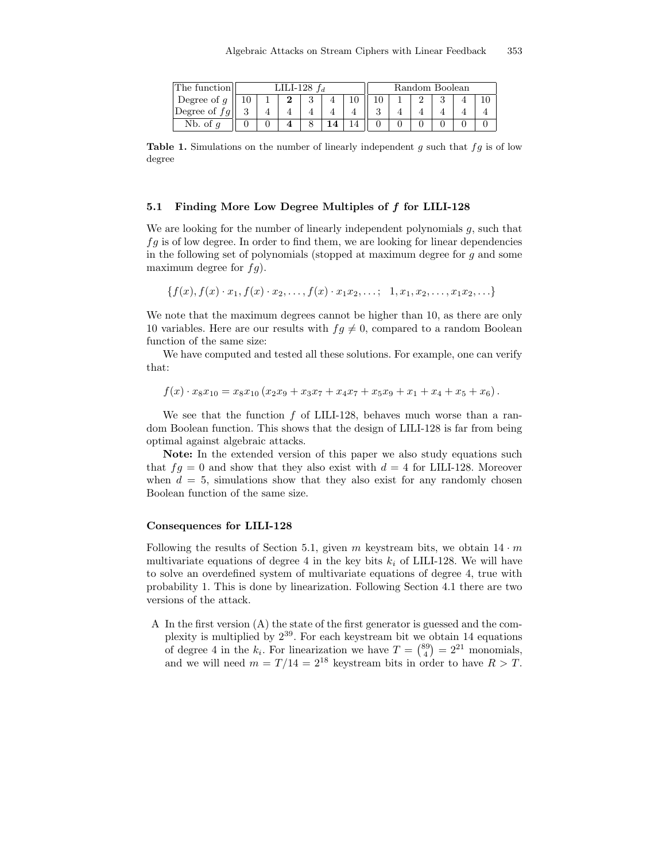| The function   | LILI-128 <i>fa</i> |  |  |  |  |  |  | Random Boolean |  |  |  |  |  |
|----------------|--------------------|--|--|--|--|--|--|----------------|--|--|--|--|--|
| Degree of q    |                    |  |  |  |  |  |  |                |  |  |  |  |  |
| Degree of $fg$ |                    |  |  |  |  |  |  |                |  |  |  |  |  |
| Nb. of         |                    |  |  |  |  |  |  |                |  |  |  |  |  |

Table 1. Simulations on the number of linearly independent  $g$  such that  $fg$  is of low degree

#### 5.1 Finding More Low Degree Multiples of f for LILI-128

We are looking for the number of linearly independent polynomials  $g$ , such that  $fg$  is of low degree. In order to find them, we are looking for linear dependencies in the following set of polynomials (stopped at maximum degree for g and some maximum degree for  $fg$ .

$$
\{f(x), f(x) \cdot x_1, f(x) \cdot x_2, \ldots, f(x) \cdot x_1 x_2, \ldots; 1, x_1, x_2, \ldots, x_1 x_2, \ldots\}
$$

We note that the maximum degrees cannot be higher than 10, as there are only 10 variables. Here are our results with  $fg \neq 0$ , compared to a random Boolean function of the same size:

We have computed and tested all these solutions. For example, one can verify that:

$$
f(x) \cdot x_8 x_{10} = x_8 x_{10} (x_2 x_9 + x_3 x_7 + x_4 x_7 + x_5 x_9 + x_1 + x_4 + x_5 + x_6).
$$

We see that the function  $f$  of LILI-128, behaves much worse than a random Boolean function. This shows that the design of LILI-128 is far from being optimal against algebraic attacks.

Note: In the extended version of this paper we also study equations such that  $f = 0$  and show that they also exist with  $d = 4$  for LILI-128. Moreover when  $d = 5$ , simulations show that they also exist for any randomly chosen Boolean function of the same size.

#### Consequences for LILI-128

Following the results of Section 5.1, given m keystream bits, we obtain  $14 \cdot m$ multivariate equations of degree 4 in the key bits  $k_i$  of LILI-128. We will have to solve an overdefined system of multivariate equations of degree 4, true with probability 1. This is done by linearization. Following Section 4.1 there are two versions of the attack.

A In the first version (A) the state of the first generator is guessed and the complexity is multiplied by 2 39 . For each keystream bit we obtain 14 equations of degree 4 in the  $k_i$ . For linearization we have  $T = \binom{89}{4} = 2^{21}$  monomials, and we will need  $m = T/14 = 2^{18}$  keystream bits in order to have  $R > T$ .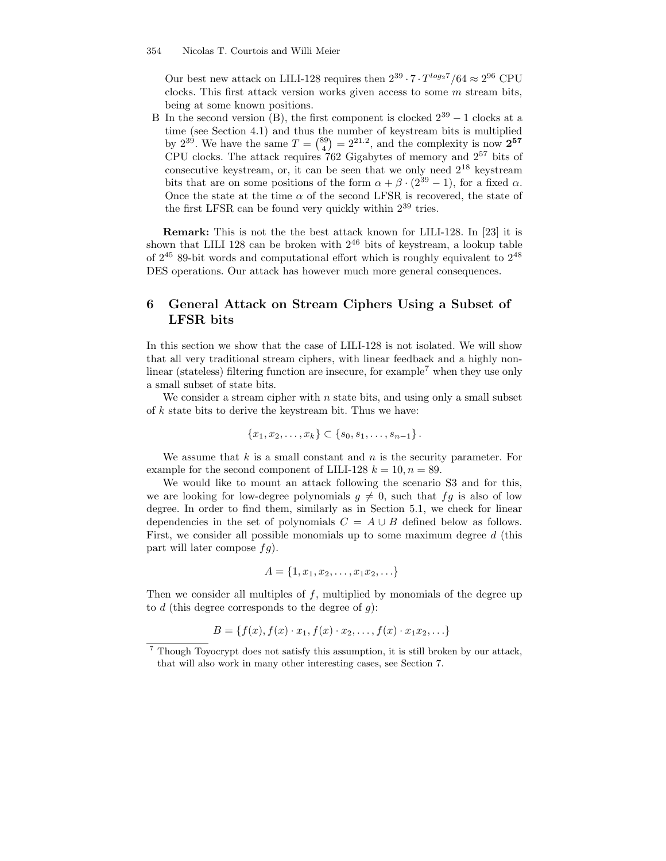Our best new attack on LILI-128 requires then  $2^{39} \cdot 7 \cdot T^{\log 27}/64 \approx 2^{96}$  CPU clocks. This first attack version works given access to some  $m$  stream bits, being at some known positions.

B In the second version (B), the first component is clocked  $2^{39} - 1$  clocks at a time (see Section 4.1) and thus the number of keystream bits is multiplied by 2<sup>39</sup>. We have the same  $T = \binom{89}{4} = 2^{21.2}$ , and the complexity is now  $2^{57}$ CPU clocks. The attack requires 762 Gigabytes of memory and 2 <sup>57</sup> bits of consecutive keystream, or, it can be seen that we only need  $2^{18}$  keystream bits that are on some positions of the form  $\alpha + \beta \cdot (2^{39} - 1)$ , for a fixed  $\alpha$ . Once the state at the time  $\alpha$  of the second LFSR is recovered, the state of the first LFSR can be found very quickly within  $2^{39}$  tries.

Remark: This is not the the best attack known for LILI-128. In [23] it is shown that LILI 128 can be broken with  $2^{46}$  bits of keystream, a lookup table of  $2^{45}$  89-bit words and computational effort which is roughly equivalent to  $2^{48}$ DES operations. Our attack has however much more general consequences.

# 6 General Attack on Stream Ciphers Using a Subset of LFSR bits

In this section we show that the case of LILI-128 is not isolated. We will show that all very traditional stream ciphers, with linear feedback and a highly nonlinear (stateless) filtering function are insecure, for example<sup>7</sup> when they use only a small subset of state bits.

We consider a stream cipher with  $n$  state bits, and using only a small subset of  $k$  state bits to derive the keystream bit. Thus we have:

$$
\{x_1, x_2, \ldots, x_k\} \subset \{s_0, s_1, \ldots, s_{n-1}\}.
$$

We assume that  $k$  is a small constant and  $n$  is the security parameter. For example for the second component of LILI-128  $k = 10, n = 89$ .

We would like to mount an attack following the scenario S3 and for this, we are looking for low-degree polynomials  $g \neq 0$ , such that  $fg$  is also of low degree. In order to find them, similarly as in Section 5.1, we check for linear dependencies in the set of polynomials  $C = A \cup B$  defined below as follows. First, we consider all possible monomials up to some maximum degree d (this part will later compose  $fg$ ).

$$
A = \{1, x_1, x_2, \dots, x_1 x_2, \dots\}
$$

Then we consider all multiples of f, multiplied by monomials of the degree up to  $d$  (this degree corresponds to the degree of  $g$ ):

$$
B = \{f(x), f(x) \cdot x_1, f(x) \cdot x_2, \dots, f(x) \cdot x_1 x_2, \dots\}
$$

<sup>7</sup> Though Toyocrypt does not satisfy this assumption, it is still broken by our attack, that will also work in many other interesting cases, see Section 7.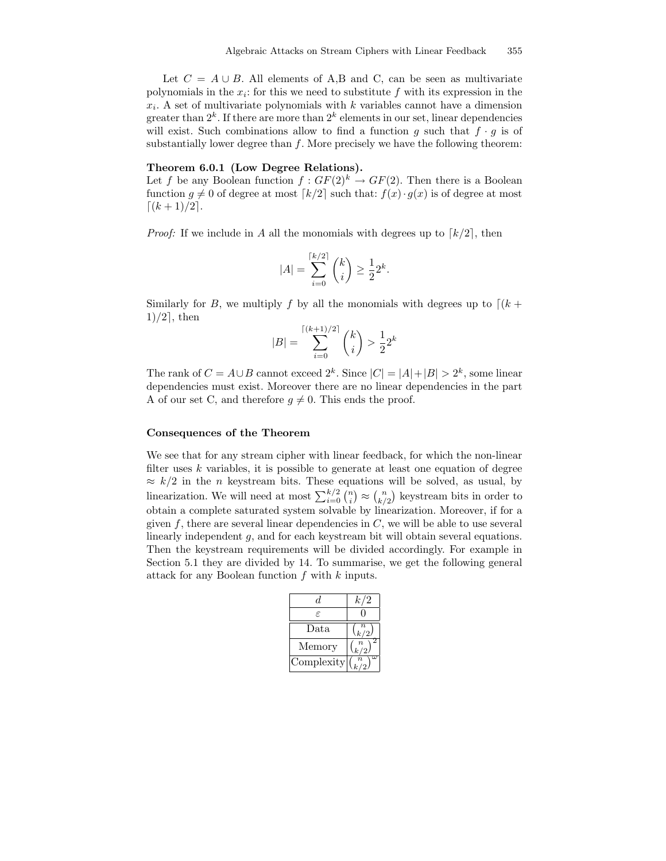Let  $C = A \cup B$ . All elements of A,B and C, can be seen as multivariate polynomials in the  $x_i$ : for this we need to substitute  $f$  with its expression in the  $x_i$ . A set of multivariate polynomials with k variables cannot have a dimension greater than  $2^k$ . If there are more than  $2^k$  elements in our set, linear dependencies will exist. Such combinations allow to find a function g such that  $f \cdot g$  is of substantially lower degree than  $f$ . More precisely we have the following theorem:

#### Theorem 6.0.1 (Low Degree Relations).

Let f be any Boolean function  $f: GF(2)^k \to GF(2)$ . Then there is a Boolean function  $g \neq 0$  of degree at most  $\lceil k/2 \rceil$  such that:  $f(x) \cdot g(x)$  is of degree at most  $\lceil (k + 1)/2 \rceil$ .

*Proof:* If we include in A all the monomials with degrees up to  $\lceil k/2 \rceil$ , then

$$
|A| = \sum_{i=0}^{\lceil k/2 \rceil} {k \choose i} \ge \frac{1}{2} 2^k.
$$

Similarly for B, we multiply f by all the monomials with degrees up to  $\lceil (k +$  $1)/2$ , then

$$
|B| = \sum_{i=0}^{\lceil (k+1)/2 \rceil} \binom{k}{i} > \frac{1}{2} 2^k
$$

The rank of  $C = A \cup B$  cannot exceed  $2^k$ . Since  $|C| = |A| + |B| > 2^k$ , some linear dependencies must exist. Moreover there are no linear dependencies in the part A of our set C, and therefore  $q \neq 0$ . This ends the proof.

#### Consequences of the Theorem

We see that for any stream cipher with linear feedback, for which the non-linear filter uses  $k$  variables, it is possible to generate at least one equation of degree  $\approx k/2$  in the *n* keystream bits. These equations will be solved, as usual, by linearization. We will need at most  $\sum_{i=0}^{k/2} \binom{n}{i} \approx \binom{n}{k/2}$  keystream bits in order to obtain a complete saturated system solvable by linearization. Moreover, if for a given  $f$ , there are several linear dependencies in  $C$ , we will be able to use several linearly independent q, and for each keystream bit will obtain several equations. Then the keystream requirements will be divided accordingly. For example in Section 5.1 they are divided by 14. To summarise, we get the following general attack for any Boolean function f with k inputs.

| d.         | k/2                                  |
|------------|--------------------------------------|
| F.         |                                      |
| Data       | $\binom{k}{2}$                       |
| Memory     | $\boldsymbol{n}$<br>$\binom{n}{k/2}$ |
| Complexity | $\boldsymbol{n}$                     |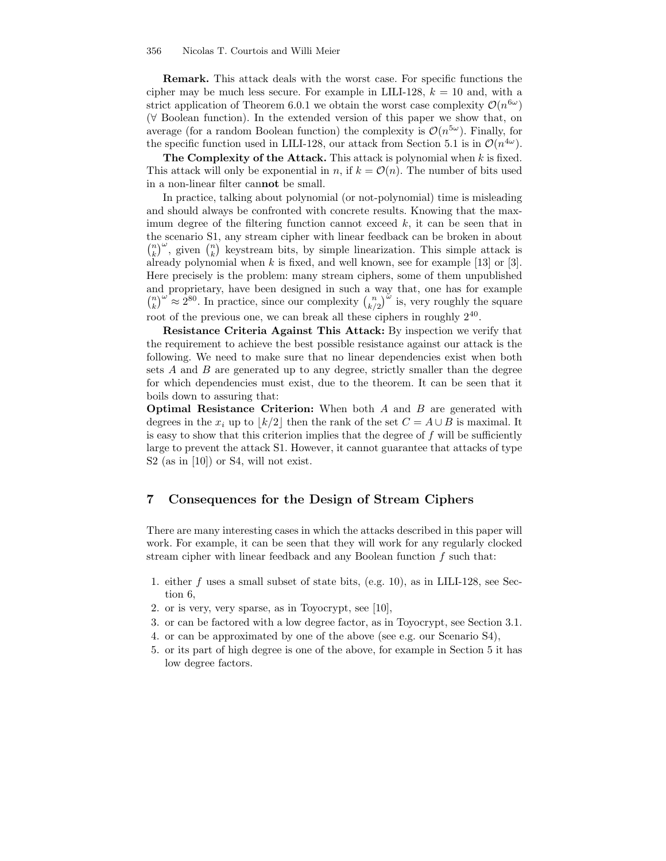Remark. This attack deals with the worst case. For specific functions the cipher may be much less secure. For example in LILI-128,  $k = 10$  and, with a strict application of Theorem 6.0.1 we obtain the worst case complexity  $\mathcal{O}(n^{6\omega})$ (∀ Boolean function). In the extended version of this paper we show that, on average (for a random Boolean function) the complexity is  $\mathcal{O}(n^{5\omega})$ . Finally, for the specific function used in LILI-128, our attack from Section 5.1 is in  $\mathcal{O}(n^{4\omega})$ .

The Complexity of the Attack. This attack is polynomial when  $k$  is fixed. This attack will only be exponential in n, if  $k = \mathcal{O}(n)$ . The number of bits used in a non-linear filter cannot be small.

In practice, talking about polynomial (or not-polynomial) time is misleading and should always be confronted with concrete results. Knowing that the maximum degree of the filtering function cannot exceed  $k$ , it can be seen that in the scenario S1, any stream cipher with linear feedback can be broken in about  $\binom{n}{k}^{\omega}$ , given  $\binom{n}{k}$  keystream bits, by simple linearization. This simple attack is already polynomial when  $k$  is fixed, and well known, see for example [13] or [3]. Here precisely is the problem: many stream ciphers, some of them unpublished and proprietary, have been designed in such a way that, one has for example  $\binom{n}{k}^{\omega} \approx 2^{80}$ . In practice, since our complexity  $\binom{n}{k/2}^{\omega}$  is, very roughly the square root of the previous one, we can break all these ciphers in roughly  $2^{40}$ .

Resistance Criteria Against This Attack: By inspection we verify that the requirement to achieve the best possible resistance against our attack is the following. We need to make sure that no linear dependencies exist when both sets  $A$  and  $B$  are generated up to any degree, strictly smaller than the degree for which dependencies must exist, due to the theorem. It can be seen that it boils down to assuring that:

**Optimal Resistance Criterion:** When both  $A$  and  $B$  are generated with degrees in the  $x_i$  up to  $\lfloor k/2 \rfloor$  then the rank of the set  $C = A \cup B$  is maximal. It is easy to show that this criterion implies that the degree of  $f$  will be sufficiently large to prevent the attack S1. However, it cannot guarantee that attacks of type S2 (as in [10]) or S4, will not exist.

## 7 Consequences for the Design of Stream Ciphers

There are many interesting cases in which the attacks described in this paper will work. For example, it can be seen that they will work for any regularly clocked stream cipher with linear feedback and any Boolean function  $f$  such that:

- 1. either f uses a small subset of state bits, (e.g. 10), as in LILI-128, see Section 6,
- 2. or is very, very sparse, as in Toyocrypt, see [10],
- 3. or can be factored with a low degree factor, as in Toyocrypt, see Section 3.1.
- 4. or can be approximated by one of the above (see e.g. our Scenario S4),
- 5. or its part of high degree is one of the above, for example in Section 5 it has low degree factors.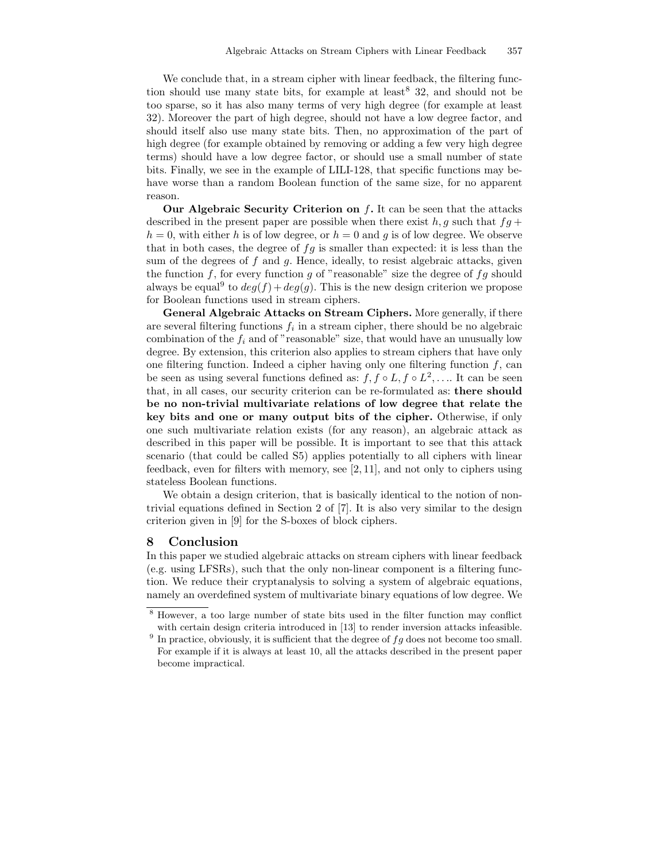We conclude that, in a stream cipher with linear feedback, the filtering function should use many state bits, for example at least  $8\,32$ , and should not be too sparse, so it has also many terms of very high degree (for example at least 32). Moreover the part of high degree, should not have a low degree factor, and should itself also use many state bits. Then, no approximation of the part of high degree (for example obtained by removing or adding a few very high degree terms) should have a low degree factor, or should use a small number of state bits. Finally, we see in the example of LILI-128, that specific functions may behave worse than a random Boolean function of the same size, for no apparent reason.

Our Algebraic Security Criterion on  $f$ . It can be seen that the attacks described in the present paper are possible when there exist h, g such that  $fg +$  $h = 0$ , with either h is of low degree, or  $h = 0$  and g is of low degree. We observe that in both cases, the degree of  $fg$  is smaller than expected: it is less than the sum of the degrees of  $f$  and  $g$ . Hence, ideally, to resist algebraic attacks, given the function f, for every function g of "reasonable" size the degree of  $fg$  should always be equal<sup>9</sup> to  $deg(f) + deg(g)$ . This is the new design criterion we propose for Boolean functions used in stream ciphers.

General Algebraic Attacks on Stream Ciphers. More generally, if there are several filtering functions  $f_i$  in a stream cipher, there should be no algebraic combination of the  $f_i$  and of "reasonable" size, that would have an unusually low degree. By extension, this criterion also applies to stream ciphers that have only one filtering function. Indeed a cipher having only one filtering function  $f$ , can be seen as using several functions defined as:  $f, f \circ L, f \circ L^2, \ldots$  It can be seen that, in all cases, our security criterion can be re-formulated as: there should be no non-trivial multivariate relations of low degree that relate the key bits and one or many output bits of the cipher. Otherwise, if only one such multivariate relation exists (for any reason), an algebraic attack as described in this paper will be possible. It is important to see that this attack scenario (that could be called S5) applies potentially to all ciphers with linear feedback, even for filters with memory, see [2, 11], and not only to ciphers using stateless Boolean functions.

We obtain a design criterion, that is basically identical to the notion of nontrivial equations defined in Section 2 of [7]. It is also very similar to the design criterion given in [9] for the S-boxes of block ciphers.

## 8 Conclusion

In this paper we studied algebraic attacks on stream ciphers with linear feedback (e.g. using LFSRs), such that the only non-linear component is a filtering function. We reduce their cryptanalysis to solving a system of algebraic equations, namely an overdefined system of multivariate binary equations of low degree. We

<sup>8</sup> However, a too large number of state bits used in the filter function may conflict with certain design criteria introduced in [13] to render inversion attacks infeasible.

<sup>&</sup>lt;sup>9</sup> In practice, obviously, it is sufficient that the degree of  $fg$  does not become too small. For example if it is always at least 10, all the attacks described in the present paper become impractical.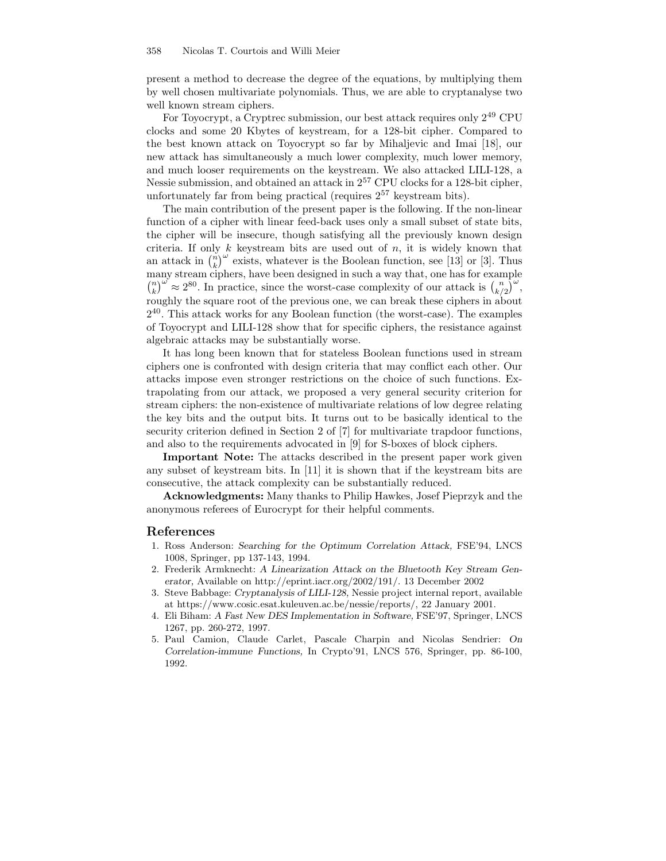present a method to decrease the degree of the equations, by multiplying them by well chosen multivariate polynomials. Thus, we are able to cryptanalyse two well known stream ciphers.

For Toyocrypt, a Cryptrec submission, our best attack requires only  $2^{49}$  CPU clocks and some 20 Kbytes of keystream, for a 128-bit cipher. Compared to the best known attack on Toyocrypt so far by Mihaljevic and Imai [18], our new attack has simultaneously a much lower complexity, much lower memory, and much looser requirements on the keystream. We also attacked LILI-128, a Nessie submission, and obtained an attack in  $2^{57}$  CPU clocks for a 128-bit cipher, unfortunately far from being practical (requires  $2^{57}$  keystream bits).

The main contribution of the present paper is the following. If the non-linear function of a cipher with linear feed-back uses only a small subset of state bits, the cipher will be insecure, though satisfying all the previously known design criteria. If only  $k$  keystream bits are used out of  $n$ , it is widely known that an attack in  $\binom{n}{k}^{\omega}$  exists, whatever is the Boolean function, see [13] or [3]. Thus many stream ciphers, have been designed in such a way that, one has for example  $\binom{n}{k}^{\omega} \approx 2^{80}$ . In practice, since the worst-case complexity of our attack is  $\binom{n}{k/2}^{\omega}$ , roughly the square root of the previous one, we can break these ciphers in about 2 40 . This attack works for any Boolean function (the worst-case). The examples of Toyocrypt and LILI-128 show that for specific ciphers, the resistance against algebraic attacks may be substantially worse.

It has long been known that for stateless Boolean functions used in stream ciphers one is confronted with design criteria that may conflict each other. Our attacks impose even stronger restrictions on the choice of such functions. Extrapolating from our attack, we proposed a very general security criterion for stream ciphers: the non-existence of multivariate relations of low degree relating the key bits and the output bits. It turns out to be basically identical to the security criterion defined in Section 2 of [7] for multivariate trapdoor functions, and also to the requirements advocated in [9] for S-boxes of block ciphers.

Important Note: The attacks described in the present paper work given any subset of keystream bits. In [11] it is shown that if the keystream bits are consecutive, the attack complexity can be substantially reduced.

Acknowledgments: Many thanks to Philip Hawkes, Josef Pieprzyk and the anonymous referees of Eurocrypt for their helpful comments.

## References

- 1. Ross Anderson: Searching for the Optimum Correlation Attack, FSE'94, LNCS 1008, Springer, pp 137-143, 1994.
- 2. Frederik Armknecht: A Linearization Attack on the Bluetooth Key Stream Generator, Available on http://eprint.iacr.org/2002/191/. 13 December 2002
- 3. Steve Babbage: Cryptanalysis of LILI-128, Nessie project internal report, available at https://www.cosic.esat.kuleuven.ac.be/nessie/reports/, 22 January 2001.
- 4. Eli Biham: A Fast New DES Implementation in Software, FSE'97, Springer, LNCS 1267, pp. 260-272, 1997.
- 5. Paul Camion, Claude Carlet, Pascale Charpin and Nicolas Sendrier: On Correlation-immune Functions, In Crypto'91, LNCS 576, Springer, pp. 86-100, 1992.